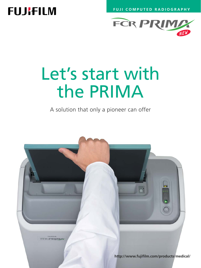**FUJI COMPUTED RADIOGRAPHY**

## **FUJIFILM**



# Let's start with the PRIMA

A solution that only a pioneer can offer